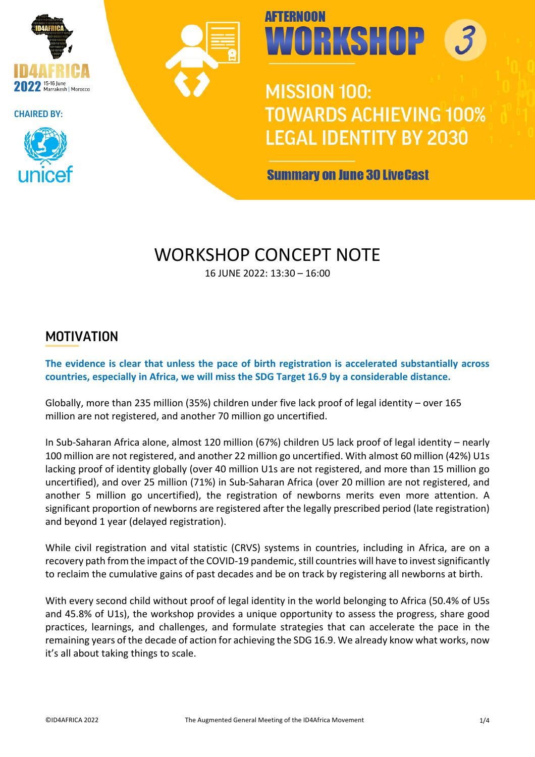







**MISSION 100: TOWARDS ACHIEVING 100% LEGAL IDENTITY BY 2030** 

**Summary on June 30 LiveCast** 

### WORKSHOP CONCEPT NOTE

16 JUNE 2022: 13:30 – 16:00

#### MOTIVATION

**The evidence is clear that unless the pace of birth registration is accelerated substantially across countries, especially in Africa, we will miss the SDG Target 16.9 by a considerable distance.**

Globally, more than 235 million (35%) children under five lack proof of legal identity – over 165 million are not registered, and another 70 million go uncertified.

In Sub-Saharan Africa alone, almost 120 million (67%) children U5 lack proof of legal identity – nearly 100 million are not registered, and another 22 million go uncertified. With almost 60 million (42%) U1s lacking proof of identity globally (over 40 million U1s are not registered, and more than 15 million go uncertified), and over 25 million (71%) in Sub-Saharan Africa (over 20 million are not registered, and another 5 million go uncertified), the registration of newborns merits even more attention. A significant proportion of newborns are registered after the legally prescribed period (late registration) and beyond 1 year (delayed registration).

While civil registration and vital statistic (CRVS) systems in countries, including in Africa, are on a recovery path from the impact of the COVID-19 pandemic, still countries will have to invest significantly to reclaim the cumulative gains of past decades and be on track by registering all newborns at birth.

With every second child without proof of legal identity in the world belonging to Africa (50.4% of U5s and 45.8% of U1s), the workshop provides a unique opportunity to assess the progress, share good practices, learnings, and challenges, and formulate strategies that can accelerate the pace in the remaining years of the decade of action for achieving the SDG 16.9. We already know what works, now it's all about taking things to scale.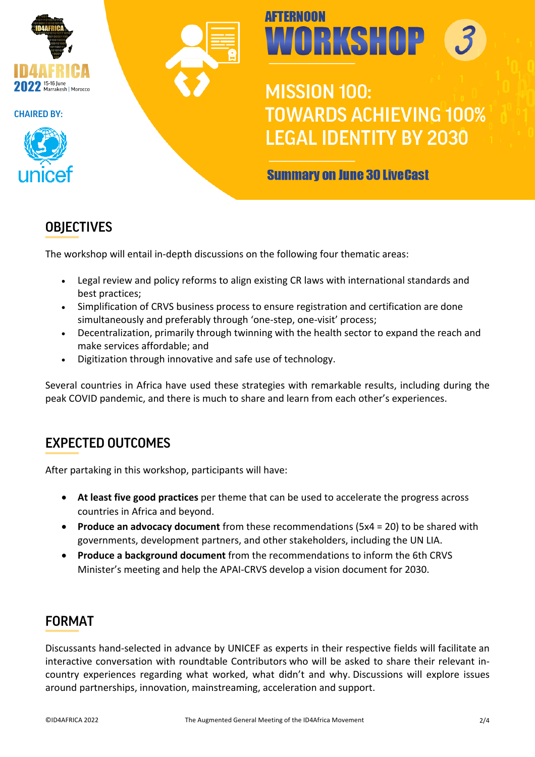





# **AFTFRNOON** WORKSHOP

**MISSION 100: TOWARDS ACHIEVING 100% LEGAL IDENTITY BY 2030** 

#### **Summary on June 30 LiveCast**

#### **OBJECTIVES**

The workshop will entail in-depth discussions on the following four thematic areas:

- Legal review and policy reforms to align existing CR laws with international standards and best practices;
- Simplification of CRVS business process to ensure registration and certification are done simultaneously and preferably through 'one-step, one-visit' process;
- Decentralization, primarily through twinning with the health sector to expand the reach and make services affordable; and
- Digitization through innovative and safe use of technology.

Several countries in Africa have used these strategies with remarkable results, including during the peak COVID pandemic, and there is much to share and learn from each other's experiences.

#### EXPECTED OUTCOMES

After partaking in this workshop, participants will have:

- **At least five good practices** per theme that can be used to accelerate the progress across countries in Africa and beyond.
- **Produce an advocacy document** from these recommendations (5x4 = 20) to be shared with governments, development partners, and other stakeholders, including the UN LIA.
- **Produce a background document** from the recommendations to inform the 6th CRVS Minister's meeting and help the APAI-CRVS develop a vision document for 2030.

#### FORMAT

Discussants hand-selected in advance by UNICEF as experts in their respective fields will facilitate an interactive conversation with roundtable Contributors who will be asked to share their relevant incountry experiences regarding what worked, what didn't and why. Discussions will explore issues around partnerships, innovation, mainstreaming, acceleration and support.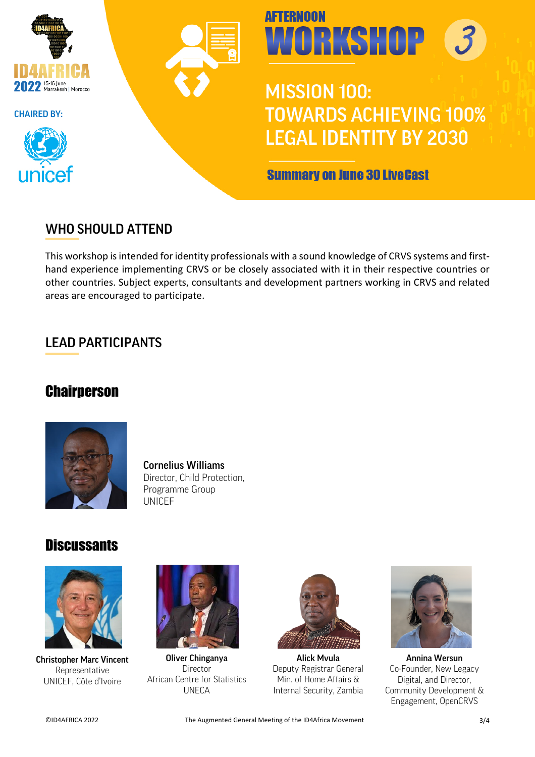







### **MISSION 100: TOWARDS ACHIEVING 100% LEGAL IDENTITY BY 2030**

**Summary on June 30 LiveCast** 

#### WHO SHOULD ATTEND

This workshop is intended for identity professionals with a sound knowledge of CRVS systems and firsthand experience implementing CRVS or be closely associated with it in their respective countries or other countries. Subject experts, consultants and development partners working in CRVS and related areas are encouraged to participate.

#### LEAD PARTICIPANTS

#### **Chairperson**



#### Cornelius Williams Director, Child Protection, Programme Group UNICEF

#### **Discussants**



Christopher Marc Vincent Representative UNICEF, Côte d'Ivoire



Oliver Chinganya Director African Centre for Statistics UNECA



Alick Mvula Deputy Registrar General Min. of Home Affairs & Internal Security, Zambia



Annina Wersun Co-Founder, New Legacy Digital, and Director, Community Development & Engagement, OpenCRVS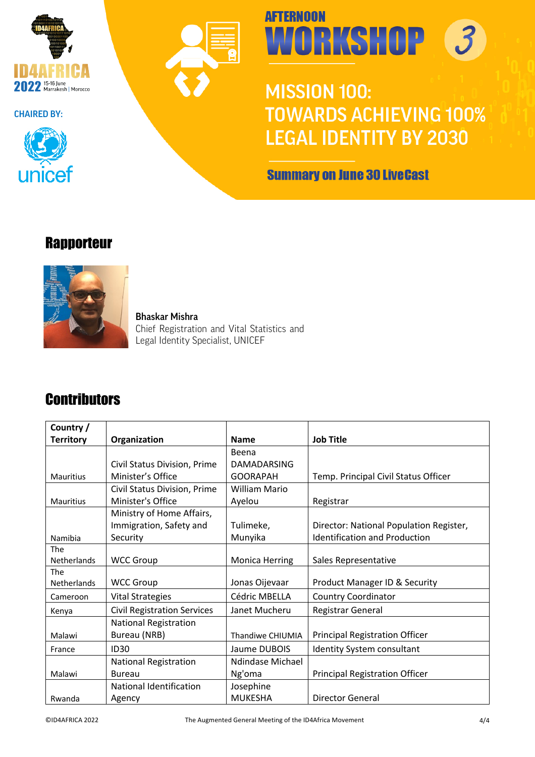





# **AFTERNOON** WORKSHOP 3

## **MISSION 100: TOWARDS ACHIEVING 100% LEGAL IDENTITY BY 2030**

**Summary on June 30 LiveCast** 

#### **Rapporteur**



Bhaskar Mishra Chief Registration and Vital Statistics and Legal Identity Specialist, UNICEF

### **Contributors**

| Country/           |                                    |                         |                                         |
|--------------------|------------------------------------|-------------------------|-----------------------------------------|
| <b>Territory</b>   | Organization                       | <b>Name</b>             | <b>Job Title</b>                        |
|                    |                                    | Beena                   |                                         |
|                    | Civil Status Division, Prime       | <b>DAMADARSING</b>      |                                         |
| <b>Mauritius</b>   | Minister's Office                  | <b>GOORAPAH</b>         | Temp. Principal Civil Status Officer    |
|                    | Civil Status Division, Prime       | <b>William Mario</b>    |                                         |
| <b>Mauritius</b>   | Minister's Office                  | Ayelou                  | Registrar                               |
|                    | Ministry of Home Affairs,          |                         |                                         |
|                    | Immigration, Safety and            | Tulimeke,               | Director: National Population Register, |
| Namibia            | Security                           | Munyika                 | <b>Identification and Production</b>    |
| The                |                                    |                         |                                         |
| <b>Netherlands</b> | <b>WCC Group</b>                   | <b>Monica Herring</b>   | Sales Representative                    |
| The                |                                    |                         |                                         |
| <b>Netherlands</b> | <b>WCC Group</b>                   | Jonas Oijevaar          | Product Manager ID & Security           |
| Cameroon           | <b>Vital Strategies</b>            | Cédric MBELLA           | <b>Country Coordinator</b>              |
| Kenya              | <b>Civil Registration Services</b> | Janet Mucheru           | <b>Registrar General</b>                |
|                    | <b>National Registration</b>       |                         |                                         |
| Malawi             | Bureau (NRB)                       | <b>Thandiwe CHIUMIA</b> | <b>Principal Registration Officer</b>   |
| France             | <b>ID30</b>                        | Jaume DUBOIS            | <b>Identity System consultant</b>       |
|                    | <b>National Registration</b>       | Ndindase Michael        |                                         |
| Malawi             | Bureau                             | Ng'oma                  | <b>Principal Registration Officer</b>   |
|                    | National Identification            | Josephine               |                                         |
| Rwanda             | Agency                             | <b>MUKESHA</b>          | Director General                        |